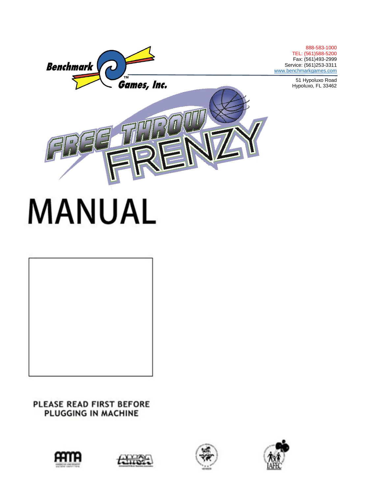

# **MANUAL**

## PLEASE READ FIRST BEFORE PLUGGING IN MACHINE









888-583-1000 TEL: (561)588-5200 Fax: (561)493-2999

51 Hypoluxo Road Hypoluxo, FL 33462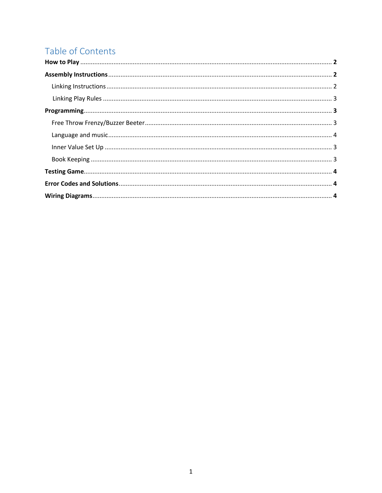# Table of Contents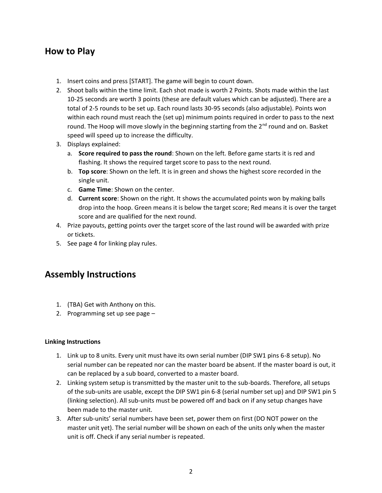### **How to Play**

- 1. Insert coins and press [START]. The game will begin to count down.
- 2. Shoot balls within the time limit. Each shot made is worth 2 Points. Shots made within the last 10-25 seconds are worth 3 points (these are default values which can be adjusted). There are a total of 2-5 rounds to be set up. Each round lasts 30-95 seconds (also adjustable). Points won within each round must reach the (set up) minimum points required in order to pass to the next round. The Hoop will move slowly in the beginning starting from the  $2^{nd}$  round and on. Basket speed will speed up to increase the difficulty.
- 3. Displays explained:
	- a. **Score required to pass the round**: Shown on the left. Before game starts it is red and flashing. It shows the required target score to pass to the next round.
	- b. **Top score**: Shown on the left. It is in green and shows the highest score recorded in the single unit.
	- c. **Game Time**: Shown on the center.
	- d. **Current score**: Shown on the right. It shows the accumulated points won by making balls drop into the hoop. Green means it is below the target score; Red means it is over the target score and are qualified for the next round.
- 4. Prize payouts, getting points over the target score of the last round will be awarded with prize or tickets.
- 5. See page 4 for linking play rules.

## **Assembly Instructions**

- 1. (TBA) Get with Anthony on this.
- 2. Programming set up see page –

#### **Linking Instructions**

- 1. Link up to 8 units. Every unit must have its own serial number (DIP SW1 pins 6-8 setup). No serial number can be repeated nor can the master board be absent. If the master board is out, it can be replaced by a sub board, converted to a master board.
- 2. Linking system setup is transmitted by the master unit to the sub-boards. Therefore, all setups of the sub-units are usable, except the DIP SW1 pin 6-8 (serial number set up) and DIP SW1 pin 5 (linking selection). All sub-units must be powered off and back on if any setup changes have been made to the master unit.
- 3. After sub-units' serial numbers have been set, power them on first (DO NOT power on the master unit yet). The serial number will be shown on each of the units only when the master unit is off. Check if any serial number is repeated.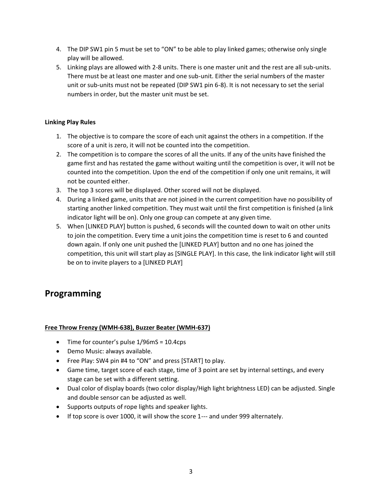- 4. The DIP SW1 pin 5 must be set to "ON" to be able to play linked games; otherwise only single play will be allowed.
- 5. Linking plays are allowed with 2-8 units. There is one master unit and the rest are all sub-units. There must be at least one master and one sub-unit. Either the serial numbers of the master unit or sub-units must not be repeated (DIP SW1 pin 6-8). It is not necessary to set the serial numbers in order, but the master unit must be set.

#### **Linking Play Rules**

- 1. The objective is to compare the score of each unit against the others in a competition. If the score of a unit is zero, it will not be counted into the competition.
- 2. The competition is to compare the scores of all the units. If any of the units have finished the game first and has restated the game without waiting until the competition is over, it will not be counted into the competition. Upon the end of the competition if only one unit remains, it will not be counted either.
- 3. The top 3 scores will be displayed. Other scored will not be displayed.
- 4. During a linked game, units that are not joined in the current competition have no possibility of starting another linked competition. They must wait until the first competition is finished (a link indicator light will be on). Only one group can compete at any given time.
- 5. When [LINKED PLAY] button is pushed, 6 seconds will the counted down to wait on other units to join the competition. Every time a unit joins the competition time is reset to 6 and counted down again. If only one unit pushed the [LINKED PLAY] button and no one has joined the competition, this unit will start play as [SINGLE PLAY]. In this case, the link indicator light will still be on to invite players to a [LINKED PLAY]

## **Programming**

#### **Free Throw Frenzy (WMH-638), Buzzer Beater (WMH-637)**

- Time for counter's pulse 1/96mS = 10.4cps
- Demo Music: always available.
- Free Play: SW4 pin #4 to "ON" and press [START] to play.
- Game time, target score of each stage, time of 3 point are set by internal settings, and every stage can be set with a different setting.
- Dual color of display boards (two color display/High light brightness LED) can be adjusted. Single and double sensor can be adjusted as well.
- Supports outputs of rope lights and speaker lights.
- If top score is over 1000, it will show the score 1--- and under 999 alternately.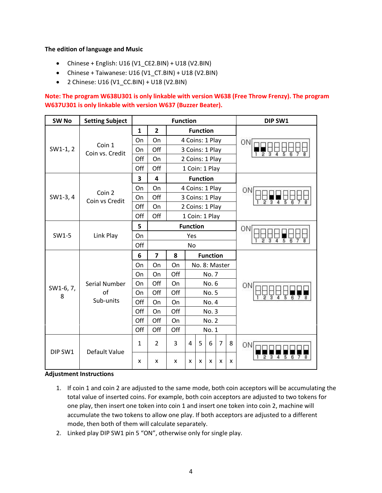#### **The edition of language and Music**

- Chinese + English: U16 (V1\_CE2.BIN) + U18 (V2.BIN)
- Chinese + Taiwanese: U16 (V1\_CT.BIN) + U18 (V2.BIN)
- 2 Chinese: U16 (V1\_CC.BIN) + U18 (V2.BIN)

**Note: The program W638U301 is only linkable with version W638 (Free Throw Frenzy). The program W637U301 is only linkable with version W637 (Buzzer Beater).**

| SW <sub>No</sub> | <b>Setting Subject</b> | <b>Function</b> |                         |     |                 |                 |                 |                | DIP SW1 |    |
|------------------|------------------------|-----------------|-------------------------|-----|-----------------|-----------------|-----------------|----------------|---------|----|
|                  |                        | $\mathbf{1}$    | $\overline{2}$          |     |                 | <b>Function</b> |                 |                |         |    |
|                  | Coin 1                 | On              | On                      |     | 4 Coins: 1 Play |                 |                 |                |         | ΟN |
| $SW1-1, 2$       | Coin vs. Credit        | On              | Off                     |     | 3 Coins: 1 Play |                 |                 |                |         |    |
|                  |                        | Off             | On                      |     | 2 Coins: 1 Play |                 |                 |                |         |    |
|                  |                        | Off             | Off                     |     | 1 Coin: 1 Play  |                 |                 |                |         |    |
|                  |                        | 3               | $\overline{\mathbf{4}}$ |     |                 | <b>Function</b> |                 |                |         |    |
|                  | Coin 2                 | On              | On                      |     | 4 Coins: 1 Play |                 |                 |                |         | О٨ |
| SW1-3, 4         | Coin vs Credit         | On              | Off                     |     | 3 Coins: 1 Play |                 |                 |                |         |    |
|                  |                        | Off             | On                      |     | 2 Coins: 1 Play |                 |                 |                |         |    |
|                  |                        | Off             | Off                     |     |                 | 1 Coin: 1 Play  |                 |                |         |    |
|                  |                        | 5               |                         |     | <b>Function</b> |                 |                 | ΟN             |         |    |
| SW1-5            | Link Play              | On              |                         |     | Yes             |                 |                 |                |         |    |
|                  |                        | Off             |                         |     | No              |                 |                 |                |         |    |
|                  |                        | 6               | $\overline{\mathbf{z}}$ | 8   |                 |                 | <b>Function</b> |                |         |    |
|                  |                        | On              | On                      | On  |                 | No. 8: Master   |                 |                |         |    |
|                  |                        | On              | On                      | Off |                 | No. 7           |                 |                |         |    |
| SW1-6, 7,        | Serial Number          | On              | Off                     | On  |                 |                 | No. 6           |                |         | ΟN |
| 8                | of                     | On              | Off                     | Off |                 |                 | No. 5           |                |         |    |
|                  | Sub-units              | Off             | On                      | On  |                 |                 | No. 4           |                |         |    |
|                  |                        | Off             | On                      | Off |                 |                 | No. 3           |                |         |    |
|                  |                        | Off             | Off                     | On  |                 | <b>No. 2</b>    |                 |                |         |    |
|                  |                        | Off             | Off                     | Off |                 |                 | No. 1           |                |         |    |
| DIP SW1          |                        | 1               | $\overline{2}$          | 3   | 4               | 5               | 6               | $\overline{7}$ | 8       | OΝ |
|                  | Default Value          | x               | x                       | x   | X               | x               | x               | X              | x       |    |

#### **Adjustment Instructions**

- 1. If coin 1 and coin 2 are adjusted to the same mode, both coin acceptors will be accumulating the total value of inserted coins. For example, both coin acceptors are adjusted to two tokens for one play, then insert one token into coin 1 and insert one token into coin 2, machine will accumulate the two tokens to allow one play. If both acceptors are adjusted to a different mode, then both of them will calculate separately.
- 2. Linked play DIP SW1 pin 5 "ON", otherwise only for single play.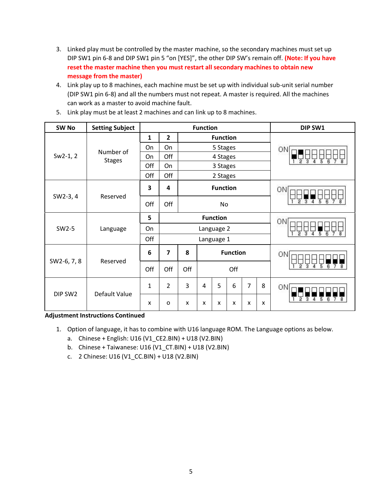- 3. Linked play must be controlled by the master machine, so the secondary machines must set up DIP SW1 pin 6-8 and DIP SW1 pin 5 "on [YES]", the other DIP SW's remain off. **(Note: If you have reset the master machine then you must restart all secondary machines to obtain new message from the master)**
- 4. Link play up to 8 machines, each machine must be set up with individual sub-unit serial number (DIP SW1 pin 6-8) and all the numbers must not repeat. A master is required. All the machines can work as a master to avoid machine fault.

| SW <sub>No</sub> | <b>Setting Subject</b> | <b>Function</b>      |                |     |                |                 |    |                | DIP SW1 |                                     |
|------------------|------------------------|----------------------|----------------|-----|----------------|-----------------|----|----------------|---------|-------------------------------------|
|                  |                        | $\mathbf{1}$         | $\overline{2}$ |     |                | <b>Function</b> |    |                |         |                                     |
|                  | Number of              | On<br>On<br>5 Stages |                |     |                |                 |    | ON             |         |                                     |
| $Sw2-1, 2$       | <b>Stages</b>          | On                   | Off            |     |                | 4 Stages        |    |                |         | 2                                   |
|                  |                        | Off                  | On             |     |                | 3 Stages        |    |                |         |                                     |
|                  |                        | Off                  | Off            |     |                | 2 Stages        |    |                |         |                                     |
|                  |                        |                      | 4              |     |                | <b>Function</b> |    |                |         | ON                                  |
| SW2-3, 4         | Reserved               | Off                  | Off            |     |                | No              |    |                |         |                                     |
|                  |                        | 5                    |                |     |                | <b>Function</b> | ON |                |         |                                     |
| SW2-5            | Language               | On                   |                |     |                | Language 2      | Ŕ  |                |         |                                     |
|                  |                        | Off                  |                |     |                | Language 1      |    |                |         |                                     |
| SW2-6, 7, 8      |                        | 6                    | $\overline{7}$ | 8   |                | <b>Function</b> |    |                |         | ON                                  |
|                  | Reserved               | Off                  | Off            | Off | Off            |                 |    |                |         | 2<br>5<br>з<br>Δ<br>$\sqrt{6}$<br>7 |
| DIP SW2          |                        | $\mathbf{1}$         | $\overline{2}$ | 3   | $\overline{4}$ | 5               | 6  | $\overline{7}$ | 8       | ON                                  |
|                  | Default Value          | X                    | o              | X   | x              | x               | X  | X              | X       | 5<br>6                              |

5. Link play must be at least 2 machines and can link up to 8 machines.

**Adjustment Instructions Continued**

- 1. Option of language, it has to combine with U16 language ROM. The Language options as below.
	- a. Chinese + English: U16 (V1\_CE2.BIN) + U18 (V2.BIN)
	- b. Chinese + Taiwanese: U16 (V1\_CT.BIN) + U18 (V2.BIN)
	- c. 2 Chinese: U16 (V1\_CC.BIN) + U18 (V2.BIN)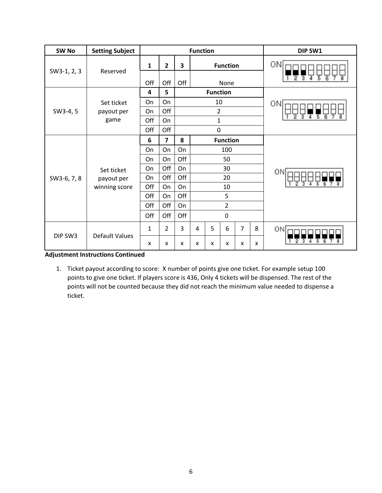| SW <sub>No</sub> | <b>Setting Subject</b> | <b>Function</b> |                |                         |                           |                  |                 |                | DIP SW1 |                       |
|------------------|------------------------|-----------------|----------------|-------------------------|---------------------------|------------------|-----------------|----------------|---------|-----------------------|
|                  |                        | $\mathbf{1}$    | $\overline{2}$ | $\overline{\mathbf{3}}$ |                           |                  | <b>Function</b> |                |         | ΟN                    |
| SW3-1, 2, 3      | Reserved               | Off             | Off            | Off                     |                           |                  | None            |                |         | 3<br>2<br>Δ<br>5<br>6 |
|                  |                        | 4               | 5              |                         | <b>Function</b>           |                  |                 |                |         |                       |
|                  | Set ticket             | <b>On</b>       | On             |                         |                           | 10               |                 |                |         | ΟN                    |
| SW3-4, 5         | payout per             | On              | Off            |                         |                           | $\overline{2}$   |                 |                |         | 2                     |
|                  | game                   | Off             | On             |                         |                           | $\mathbf{1}$     |                 |                |         | 6<br>з<br>5           |
|                  |                        | Off             | Off            |                         |                           | $\boldsymbol{0}$ |                 |                |         |                       |
|                  | Set ticket             | 6               | $\overline{7}$ | 8                       |                           |                  | <b>Function</b> |                |         |                       |
|                  |                        | On              | On             | On                      |                           |                  | 100             |                |         |                       |
|                  |                        | On              | On             | Off                     |                           |                  | 50              |                |         |                       |
|                  |                        | On              | Off            | On                      |                           |                  | 30              |                |         | ON                    |
| SW3-6, 7, 8      | payout per             | On              | Off            | Off                     |                           |                  | 20              |                |         |                       |
|                  | winning score          | Off             | On             | On                      |                           |                  | 10              |                |         |                       |
|                  |                        | Off             | On             | Off                     |                           |                  | 5               |                |         |                       |
|                  |                        | Off             | Off            | On                      |                           |                  | $\overline{2}$  |                |         |                       |
|                  |                        | Off             | Off            | Off                     |                           |                  | $\mathbf 0$     |                |         |                       |
|                  |                        | 1               | $\overline{2}$ | 3                       | $\overline{4}$            | 5                | 6               | $\overline{7}$ | 8       | ON                    |
| DIP SW3          | <b>Default Values</b>  | X               | X              | X                       | $\boldsymbol{\mathsf{x}}$ | X                | X               | X              | X       |                       |

#### **Adjustment Instructions Continued**

1. Ticket payout according to score: X number of points give one ticket. For example setup 100 points to give one ticket. If players score is 436, Only 4 tickets will be dispensed. The rest of the points will not be counted because they did not reach the minimum value needed to dispense a ticket.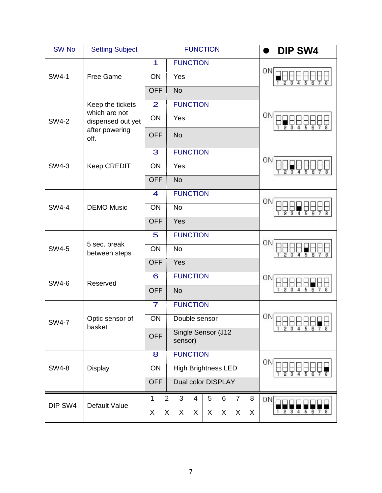| <b>SW No</b>                   | <b>Setting Subject</b>                        |                      |                                             |                    | <b>FUNCTION</b> |    |   |                |             | <b>DIP SW4</b> |
|--------------------------------|-----------------------------------------------|----------------------|---------------------------------------------|--------------------|-----------------|----|---|----------------|-------------|----------------|
|                                |                                               | 1                    |                                             | <b>FUNCTION</b>    |                 |    |   |                |             | ΟN             |
| <b>SW4-1</b>                   | Free Game                                     | ON                   |                                             | Yes                |                 |    |   |                |             |                |
|                                |                                               | <b>OFF</b>           |                                             | <b>No</b>          |                 |    |   |                |             |                |
|                                | Keep the tickets                              | $\overline{2}$       |                                             | <b>FUNCTION</b>    |                 |    |   |                |             |                |
| <b>SW4-2</b>                   | which are not<br>dispensed out yet            | ON                   |                                             | Yes                |                 |    |   |                |             | ON             |
|                                | after powering<br>off.                        | <b>OFF</b>           |                                             | <b>No</b>          |                 |    |   |                |             |                |
|                                |                                               | 3                    |                                             | <b>FUNCTION</b>    |                 |    |   |                |             | ΟN             |
| <b>SW4-3</b>                   | <b>Keep CREDIT</b>                            | ON                   |                                             | Yes                |                 |    |   |                |             |                |
|                                |                                               | <b>OFF</b>           |                                             | <b>No</b>          |                 |    |   |                |             |                |
|                                |                                               |                      |                                             | <b>FUNCTION</b>    |                 |    |   |                |             | ΟN             |
| <b>SW4-4</b>                   | <b>DEMO Music</b>                             | ON                   |                                             | <b>No</b>          |                 |    |   |                |             | 5              |
|                                |                                               | <b>OFF</b>           |                                             | Yes                |                 |    |   |                |             |                |
|                                | 5 sec. break<br><b>SW4-5</b><br>between steps |                      | <b>FUNCTION</b><br>5                        |                    |                 |    |   |                | ΟN          |                |
|                                |                                               |                      | ON<br><b>No</b>                             |                    |                 |    |   |                |             |                |
|                                |                                               |                      | <b>OFF</b><br>Yes                           |                    |                 |    |   |                |             |                |
| <b>SW4-6</b>                   | Reserved                                      | <b>FUNCTION</b><br>6 |                                             |                    |                 |    |   | ON             |             |                |
|                                |                                               | <b>OFF</b>           | <b>No</b>                                   |                    |                 |    |   |                | 3<br>5<br>6 |                |
|                                |                                               | $\overline{7}$       | <b>FUNCTION</b>                             |                    |                 |    |   |                |             |                |
| <b>SW4-7</b>                   | Optic sensor of                               | ON                   |                                             | Double sensor      |                 |    |   |                |             | 0N<br>FUUU UU  |
|                                | basket                                        |                      | Single Sensor (J12<br><b>OFF</b><br>sensor) |                    |                 |    |   |                |             |                |
| <b>SW4-8</b><br><b>Display</b> |                                               | 8                    |                                             | <b>FUNCTION</b>    |                 |    |   |                |             |                |
|                                |                                               |                      | <b>High Brightness LED</b><br>ON            |                    |                 |    |   |                | ΟN          |                |
|                                |                                               |                      | <b>OFF</b>                                  | Dual color DISPLAY |                 |    |   |                |             |                |
| DIP SW4                        | Default Value                                 | 1                    | $\overline{2}$                              | 3                  | 4               | 5  | 6 | $\overline{7}$ | 8           | ON             |
|                                |                                               | X.                   | X.                                          | X                  | X               | X. | X | X              | X.          |                |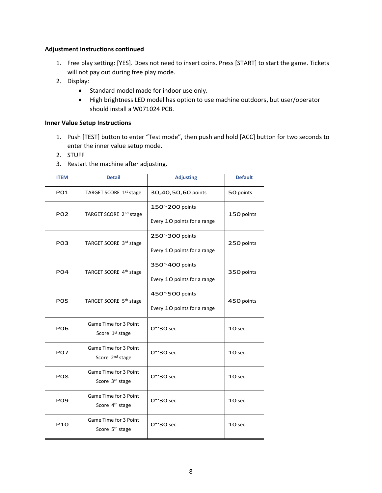#### **Adjustment Instructions continued**

- 1. Free play setting: [YES]. Does not need to insert coins. Press [START] to start the game. Tickets will not pay out during free play mode.
- 2. Display:
	- Standard model made for indoor use only.
	- High brightness LED model has option to use machine outdoors, but user/operator should install a W071024 PCB.

#### **Inner Value Setup Instructions**

- 1. Push [TEST] button to enter "Test mode", then push and hold [ACC] button for two seconds to enter the inner value setup mode.
- 2. STUFF
- 3. Restart the machine after adjusting.

| <b>ITEM</b>     | <b>Detail</b>                                        | <b>Adjusting</b>            | <b>Default</b> |  |
|-----------------|------------------------------------------------------|-----------------------------|----------------|--|
| PO1             | TARGET SCORE 1st stage                               | 30,40,50,60 points          | 50 points      |  |
| PO <sub>2</sub> | TARGET SCORE 2 <sup>nd</sup> stage                   | 150~200 points              | 150 points     |  |
|                 |                                                      | Every 10 points for a range |                |  |
| PO3             | TARGET SCORE 3rd stage                               | 250~300 points              | 250 points     |  |
|                 |                                                      | Every 10 points for a range |                |  |
| P <sub>04</sub> | TARGET SCORE 4 <sup>th</sup> stage                   | 350~400 points              |                |  |
|                 |                                                      | Every 10 points for a range | 350 points     |  |
| <b>PO5</b>      | TARGET SCORE 5 <sup>th</sup> stage                   | 450~500 points              | 450 points     |  |
|                 |                                                      | Every 10 points for a range |                |  |
| <b>PO6</b>      | Game Time for 3 Point<br>Score 1 <sup>st</sup> stage | $O^{\sim}30$ sec.           | <b>10 sec.</b> |  |
| <b>P07</b>      | Game Time for 3 Point<br>Score 2 <sup>nd</sup> stage | $O^{\sim}30$ sec.           | <b>10 sec.</b> |  |
| PO8             | Game Time for 3 Point<br>Score 3rd stage             | $0^{\sim}30$ sec.           | <b>10 sec.</b> |  |
| <b>PO9</b>      | Game Time for 3 Point<br>Score 4 <sup>th</sup> stage | $O^{\sim}30$ sec.           | <b>10 sec.</b> |  |
| P <sub>10</sub> | Game Time for 3 Point<br>Score 5 <sup>th</sup> stage | $O^{\sim}30$ sec.           | <b>10 sec.</b> |  |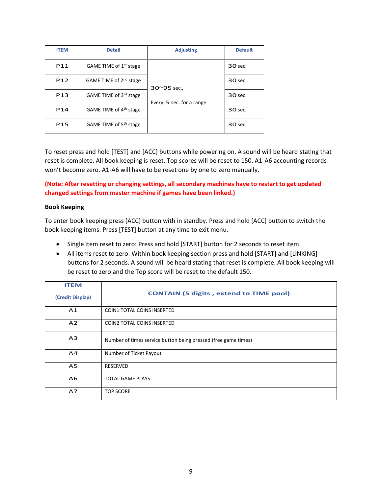| <b>ITEM</b>     | <b>Detail</b>                      | <b>Adjusting</b>         | <b>Default</b> |
|-----------------|------------------------------------|--------------------------|----------------|
| P11             | GAME TIME of 1 <sup>st</sup> stage |                          | 30 sec.        |
| P <sub>12</sub> | GAME TIME of 2 <sup>nd</sup> stage | $30^{\circ}95$ sec.,     | 30 sec.        |
| P <sub>13</sub> | GAME TIME of 3rd stage             | Every 5 sec. for a range | 30 sec.        |
| P <sub>14</sub> | GAME TIME of 4 <sup>th</sup> stage |                          | 30 sec.        |
| P <sub>15</sub> | GAME TIME of 5 <sup>th</sup> stage |                          | 30 sec.        |

To reset press and hold [TEST] and [ACC] buttons while powering on. A sound will be heard stating that reset is complete. All book keeping is reset. Top scores will be reset to 150. A1-A6 accounting records won't become zero. A1-A6 will have to be reset one by one to zero manually.

#### **(Note: After resetting or changing settings, all secondary machines have to restart to get updated changed settings from master machine if games have been linked.)**

#### **Book Keeping**

To enter book keeping press [ACC] button with in standby. Press and hold [ACC] button to switch the book keeping items. Press [TEST] button at any time to exit menu.

- Single item reset to zero: Press and hold [START] button for 2 seconds to reset item.
- All items reset to zero: Within book keeping section press and hold [START] and [LINKING] buttons for 2 seconds. A sound will be heard stating that reset is complete. All book keeping will be reset to zero and the Top score will be reset to the default 150.

| <b>ITEM</b>      |                                                                |
|------------------|----------------------------------------------------------------|
| (Credit Display) | <b>CONTAIN (5 digits, extend to TIME pool)</b>                 |
| A <sub>1</sub>   | <b>COIN1 TOTAL COINS INSERTED</b>                              |
| A <sub>2</sub>   | COIN2 TOTAL COINS INSERTED                                     |
| A <sub>3</sub>   | Number of times service button being pressed (free game times) |
| A4               | Number of Ticket Payout                                        |
| A <sub>5</sub>   | <b>RESERVED</b>                                                |
| A <sub>6</sub>   | <b>TOTAL GAME PLAYS</b>                                        |
| A7               | <b>TOP SCORE</b>                                               |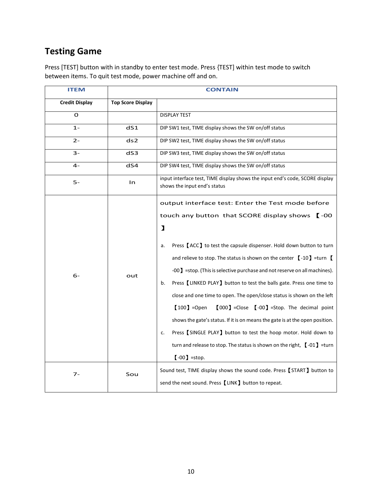# **Testing Game**

Press [TEST] button with in standby to enter test mode. Press {TEST] within test mode to switch between items. To quit test mode, power machine off and on.

| <b>ITEM</b>           |                          | <b>CONTAIN</b>                                                                                                                                                                                                                                                                                                                                                                                                                                                                                                                                                                                                                                                                                                                                                                                                                                                  |
|-----------------------|--------------------------|-----------------------------------------------------------------------------------------------------------------------------------------------------------------------------------------------------------------------------------------------------------------------------------------------------------------------------------------------------------------------------------------------------------------------------------------------------------------------------------------------------------------------------------------------------------------------------------------------------------------------------------------------------------------------------------------------------------------------------------------------------------------------------------------------------------------------------------------------------------------|
| <b>Credit Display</b> | <b>Top Score Display</b> |                                                                                                                                                                                                                                                                                                                                                                                                                                                                                                                                                                                                                                                                                                                                                                                                                                                                 |
| O                     |                          | <b>DISPLAY TEST</b>                                                                                                                                                                                                                                                                                                                                                                                                                                                                                                                                                                                                                                                                                                                                                                                                                                             |
| $1 -$                 | dS1                      | DIP SW1 test, TIME display shows the SW on/off status                                                                                                                                                                                                                                                                                                                                                                                                                                                                                                                                                                                                                                                                                                                                                                                                           |
| $2 -$                 | ds <sub>2</sub>          | DIP SW2 test, TIME display shows the SW on/off status                                                                                                                                                                                                                                                                                                                                                                                                                                                                                                                                                                                                                                                                                                                                                                                                           |
| $3-$                  | dS3                      | DIP SW3 test, TIME display shows the SW on/off status                                                                                                                                                                                                                                                                                                                                                                                                                                                                                                                                                                                                                                                                                                                                                                                                           |
| 4-                    | dS4                      | DIP SW4 test, TIME display shows the SW on/off status                                                                                                                                                                                                                                                                                                                                                                                                                                                                                                                                                                                                                                                                                                                                                                                                           |
| 5-                    | In                       | input interface test, TIME display shows the input end's code, SCORE display<br>shows the input end's status                                                                                                                                                                                                                                                                                                                                                                                                                                                                                                                                                                                                                                                                                                                                                    |
| $6-$                  | out                      | output interface test: Enter the Test mode before<br>touch any button that SCORE display shows [-00<br>$\mathbf{I}$<br>Press [ACC] to test the capsule dispenser. Hold down button to turn<br>a.<br>and relieve to stop. The status is shown on the center $\left[$ -10) =turn $\left[$<br>-00] =stop. (This is selective purchase and not reserve on all machines).<br>Press [LINKED PLAY] button to test the balls gate. Press one time to<br>b.<br>close and one time to open. The open/close status is shown on the left<br>$[100]$ =Open<br>$[000]$ =Close $[ -00 ]$ =Stop. The decimal point<br>shows the gate's status. If it is on means the gate is at the open position.<br>Press [SINGLE PLAY] button to test the hoop motor. Hold down to<br>c.<br>turn and release to stop. The status is shown on the right, $[ -01 ] =$ turn<br>$[ -00 ]$ =stop. |
| $7 -$                 | Sou                      | Sound test, TIME display shows the sound code. Press [START] button to<br>send the next sound. Press [LINK] button to repeat.                                                                                                                                                                                                                                                                                                                                                                                                                                                                                                                                                                                                                                                                                                                                   |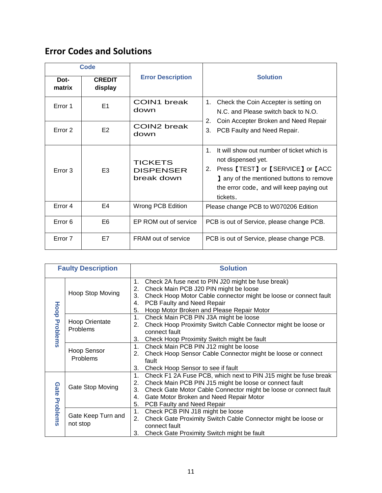# **Error Codes and Solutions**

| <b>Code</b>        |                          |                                                  |                                                                                                                                                                                                                                 |  |  |  |  |
|--------------------|--------------------------|--------------------------------------------------|---------------------------------------------------------------------------------------------------------------------------------------------------------------------------------------------------------------------------------|--|--|--|--|
| Dot-<br>matrix     | <b>CREDIT</b><br>display | <b>Error Description</b>                         | <b>Solution</b>                                                                                                                                                                                                                 |  |  |  |  |
| Error 1            | E <sub>1</sub>           | <b>COIN1</b> break<br>down                       | Check the Coin Accepter is setting on<br>1.<br>N.C. and Please switch back to N.O.<br>2.                                                                                                                                        |  |  |  |  |
| Error <sub>2</sub> | E <sub>2</sub>           | COIN2 break<br>down                              | Coin Accepter Broken and Need Repair<br>3.<br>PCB Faulty and Need Repair.                                                                                                                                                       |  |  |  |  |
| Error 3            | E <sub>3</sub>           | <b>TICKETS</b><br><b>DISPENSER</b><br>break down | It will show out number of ticket which is<br>$\mathbf{1}$ .<br>not dispensed yet.<br>Press [TEST] or [SERVICE] or [ACC<br>2.<br>any of the mentioned buttons to remove<br>the error code, and will keep paying out<br>tickets. |  |  |  |  |
| Error 4            | F4                       | Wrong PCB Edition                                | Please change PCB to W070206 Edition                                                                                                                                                                                            |  |  |  |  |
| Error <sub>6</sub> | E <sub>6</sub>           | EP ROM out of service                            | PCB is out of Service, please change PCB.                                                                                                                                                                                       |  |  |  |  |
| Error 7            | E7                       | <b>FRAM</b> out of service                       | PCB is out of Service, please change PCB.                                                                                                                                                                                       |  |  |  |  |

|                                        | <b>Faulty Description</b>                                                                                                                                                               | <b>Solution</b>                                                                                                                                                                                                                                                                                      |
|----------------------------------------|-----------------------------------------------------------------------------------------------------------------------------------------------------------------------------------------|------------------------------------------------------------------------------------------------------------------------------------------------------------------------------------------------------------------------------------------------------------------------------------------------------|
| Hoop                                   | Hoop Stop Moving                                                                                                                                                                        | Check 2A fuse next to PIN J20 might be fuse break)<br>1.<br>Check Main PCB J20 PIN might be loose<br>2.<br>Check Hoop Motor Cable connector might be loose or connect fault<br>3.<br>PCB Faulty and Need Repair<br>4.<br>Hoop Motor Broken and Please Repair Motor<br>5.                             |
| Problems<br>Hoop Orientate<br>Problems | 1.<br>Check Main PCB PIN J3A might be loose<br>Check Hoop Proximity Switch Cable Connector might be loose or<br>2.<br>connect fault<br>3.<br>Check Hoop Proximity Switch might be fault |                                                                                                                                                                                                                                                                                                      |
| <b>Hoop Sensor</b><br>Problems         |                                                                                                                                                                                         | Check Main PCB PIN J12 might be loose<br>1.<br>Check Hoop Sensor Cable Connector might be loose or connect<br>2.<br>fault<br>3.<br>Check Hoop Sensor to see if fault                                                                                                                                 |
| Gate<br>Gate Stop Moving               |                                                                                                                                                                                         | Check F1 2A Fuse PCB, which next to PIN J15 might be fuse break<br>1.<br>Check Main PCB PIN J15 might be loose or connect fault<br>2.<br>Check Gate Motor Cable Connector might be loose or connect fault<br>3.<br>Gate Motor Broken and Need Repair Motor<br>4.<br>5.<br>PCB Faulty and Need Repair |
| Problems                               | Gate Keep Turn and<br>not stop                                                                                                                                                          | Check PCB PIN J18 might be loose<br>1.<br>Check Gate Proximity Switch Cable Connector might be loose or<br>2.<br>connect fault<br>3.<br>Check Gate Proximity Switch might be fault                                                                                                                   |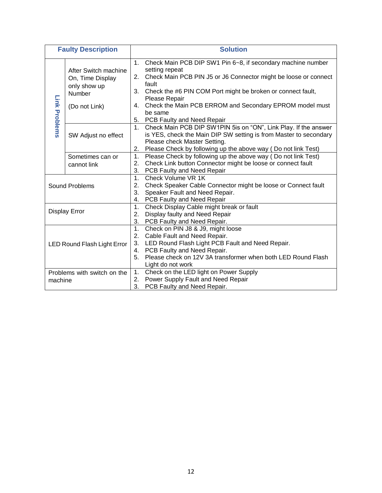|                                        | <b>Faulty Description</b>                                                           | <b>Solution</b>                                                                                                                                                                                                                                                                                                                                                                                |
|----------------------------------------|-------------------------------------------------------------------------------------|------------------------------------------------------------------------------------------------------------------------------------------------------------------------------------------------------------------------------------------------------------------------------------------------------------------------------------------------------------------------------------------------|
| Link Problems                          | After Switch machine<br>On, Time Display<br>only show up<br>Number<br>(Do not Link) | Check Main PCB DIP SW1 Pin 6~8, if secondary machine number<br>1 <sup>1</sup><br>setting repeat<br>Check Main PCB PIN J5 or J6 Connector might be loose or connect<br>2.<br>fault<br>Check the #6 PIN COM Port might be broken or connect fault,<br>3.<br>Please Repair<br>Check the Main PCB ERROM and Secondary EPROM model must<br>4.<br>be same<br><b>PCB Faulty and Need Repair</b><br>5. |
|                                        | SW Adjust no effect                                                                 | Check Main PCB DIP SW1PIN 5is on "ON", Link Play. If the answer<br>1.<br>is YES, check the Main DIP SW setting is from Master to secondary<br>Please check Master Setting.<br>2. Please Check by following up the above way (Do not link Test)                                                                                                                                                 |
|                                        | Sometimes can or<br>cannot link                                                     | Please Check by following up the above way (Do not link Test)<br>1.<br>Check Link button Connector might be loose or connect fault<br>2.<br>3.<br>PCB Faulty and Need Repair                                                                                                                                                                                                                   |
| Sound Problems                         |                                                                                     | 1.<br>Check Volume VR 1K<br>2.<br>Check Speaker Cable Connector might be loose or Connect fault<br>3.<br>Speaker Fault and Need Repair.<br>4. PCB Faulty and Need Repair                                                                                                                                                                                                                       |
|                                        | <b>Display Error</b>                                                                | 1.<br>Check Display Cable might break or fault<br>2.<br>Display faulty and Need Repair<br>3.<br>PCB Faulty and Need Repair.                                                                                                                                                                                                                                                                    |
| LED Round Flash Light Error            |                                                                                     | 1.<br>Check on PIN J8 & J9, might loose<br>2.<br>Cable Fault and Need Repair.<br>3. LED Round Flash Light PCB Fault and Need Repair.<br>PCB Faulty and Need Repair.<br>4.<br>Please check on 12V 3A transformer when both LED Round Flash<br>5.<br>Light do not work                                                                                                                           |
| Problems with switch on the<br>machine |                                                                                     | Check on the LED light on Power Supply<br>1.<br>Power Supply Fault and Need Repair<br>2.<br>3.<br>PCB Faulty and Need Repair.                                                                                                                                                                                                                                                                  |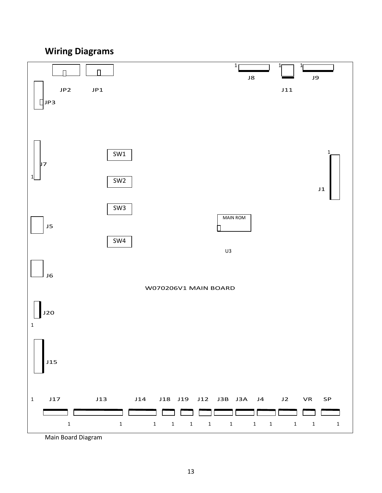# **Wiring Diagrams**



Main Board Diagram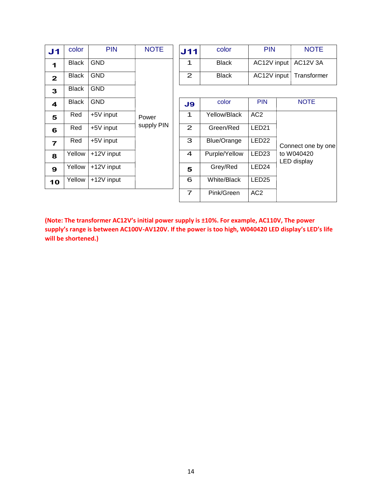| J <sub>1</sub> | color        | <b>PIN</b> | <b>NOTE</b> | J11            | color              | PI                |
|----------------|--------------|------------|-------------|----------------|--------------------|-------------------|
| 1              | <b>Black</b> | <b>GND</b> |             | 1              | <b>Black</b>       | <b>AC12</b>       |
| $\mathbf{2}$   | <b>Black</b> | GND        |             | $\mathbf{2}$   | <b>Black</b>       | <b>AC12</b>       |
| 3              | <b>Black</b> | <b>GND</b> |             |                |                    |                   |
| 4              | <b>Black</b> | <b>GND</b> |             | J9             | color              | <b>PIN</b>        |
| 5              | Red          | +5V input  | Power       | 1              | Yellow/Black       | AC <sub>2</sub>   |
| 6              | Red          | +5V input  | supply PIN  | $\overline{2}$ | Green/Red          | LED <sub>21</sub> |
| $\overline{7}$ | Red          | +5V input  |             | 3              | <b>Blue/Orange</b> | LED <sub>22</sub> |
| 8              | Yellow       | +12V input |             | 4              | Purple/Yellow      | LED <sub>23</sub> |
| $\mathbf{9}$   | Yellow       | +12V input |             | 5              | Grey/Red           | LED <sub>24</sub> |
| 10             | Yellow       | +12V input |             | 6              | <b>White/Black</b> | LED <sub>25</sub> |
|                |              |            |             | ⇁              | <b>DUITO</b>       | $\sim$            |

| J1 | color        | <b>PIN</b> | <b>NOTE</b> | J11 | color        | <b>PIN</b>              | <b>NOTE</b> |
|----|--------------|------------|-------------|-----|--------------|-------------------------|-------------|
|    | <b>Black</b> | <b>GND</b> |             |     | <b>Black</b> | AC12V input   AC12V 3A  |             |
|    | Black        | <b>GND</b> |             | ◠   | <b>Black</b> | AC12V input Transformer |             |
|    |              | ----       |             |     |              |                         |             |

| Black          | <b>GND</b> |            | J9                        | color              | <b>PIN</b>        | <b>NOTE</b>               |
|----------------|------------|------------|---------------------------|--------------------|-------------------|---------------------------|
| Red            | +5V input  | Power      | 1                         | Yellow/Black       | AC <sub>2</sub>   |                           |
| Red            | +5V input  | supply PIN | $\mathbf{2}^{\mathsf{I}}$ | Green/Red          | LED <sub>21</sub> |                           |
| Red            | +5V input  |            | 3                         | <b>Blue/Orange</b> | LED <sub>22</sub> | Connect one by one        |
| <i>r</i> ellow | +12V input |            | $\overline{4}$            | Purple/Yellow      | LED <sub>23</sub> | to W040420<br>LED display |
| <i>r</i> ellow | +12V input |            | 5                         | Grey/Red           | LED <sub>24</sub> |                           |
| <i>r</i> ellow | +12V input |            | 6                         | White/Black        | LED <sub>25</sub> |                           |
|                |            |            | $\overline{ }$            | Pink/Green         | AC <sub>2</sub>   |                           |

**(Note: The transformer AC12V's initial power supply is ±10%. For example, AC110V, The power supply's range is between AC100V-AV120V. If the power is too high, W040420 LED display's LED's life will be shortened.)**